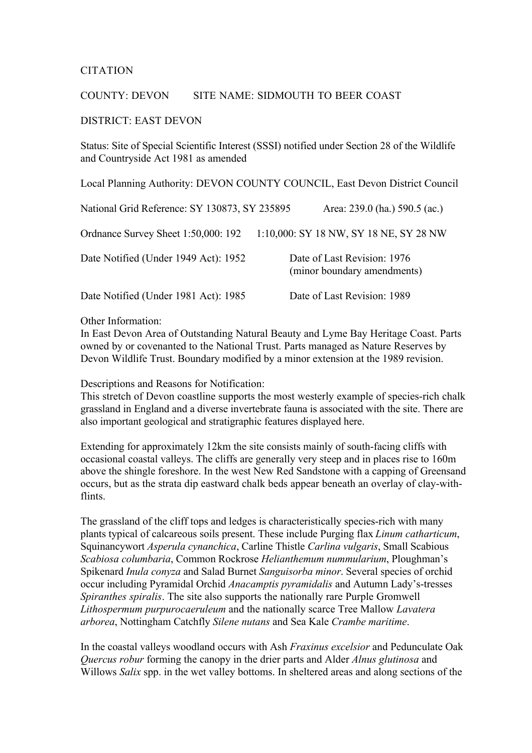## CITATION

## COUNTY: DEVON SITE NAME: SIDMOUTH TO BEER COAST

## DISTRICT: EAST DEVON

Status: Site of Special Scientific Interest (SSSI) notified under Section 28 of the Wildlife and Countryside Act 1981 as amended

Local Planning Authority: DEVON COUNTY COUNCIL, East Devon District Council

| National Grid Reference: SY 130873, SY 235895 | Area: 239.0 (ha.) 590.5 (ac.)                              |
|-----------------------------------------------|------------------------------------------------------------|
| Ordnance Survey Sheet 1:50,000: 192           | 1:10,000: SY 18 NW, SY 18 NE, SY 28 NW                     |
| Date Notified (Under 1949 Act): 1952          | Date of Last Revision: 1976<br>(minor boundary amendments) |
| Date Notified (Under 1981 Act): 1985          | Date of Last Revision: 1989                                |

Other Information:

In East Devon Area of Outstanding Natural Beauty and Lyme Bay Heritage Coast. Parts owned by or covenanted to the National Trust. Parts managed as Nature Reserves by Devon Wildlife Trust. Boundary modified by a minor extension at the 1989 revision.

Descriptions and Reasons for Notification:

This stretch of Devon coastline supports the most westerly example of species-rich chalk grassland in England and a diverse invertebrate fauna is associated with the site. There are also important geological and stratigraphic features displayed here.

Extending for approximately 12km the site consists mainly of south-facing cliffs with occasional coastal valleys. The cliffs are generally very steep and in places rise to 160m above the shingle foreshore. In the west New Red Sandstone with a capping of Greensand occurs, but as the strata dip eastward chalk beds appear beneath an overlay of clay-withflints.

The grassland of the cliff tops and ledges is characteristically species-rich with many plants typical of calcareous soils present. These include Purging flax *Linum catharticum*, Squinancywort *Asperula cynanchica*, Carline Thistle *Carlina vulgaris*, Small Scabious *Scabiosa columbaria*, Common Rockrose *Helianthemum nummularium*, Ploughman's Spikenard *Inula conyza* and Salad Burnet *Sanguisorba minor*. Several species of orchid occur including Pyramidal Orchid *Anacamptis pyramidalis* and Autumn Lady's-tresses *Spiranthes spiralis*. The site also supports the nationally rare Purple Gromwell *Lithospermum purpurocaeruleum* and the nationally scarce Tree Mallow *Lavatera arborea*, Nottingham Catchfly *Silene nutans* and Sea Kale *Crambe maritime*.

In the coastal valleys woodland occurs with Ash *Fraxinus excelsior* and Pedunculate Oak *Quercus robur* forming the canopy in the drier parts and Alder *Alnus glutinosa* and Willows *Salix* spp. in the wet valley bottoms. In sheltered areas and along sections of the